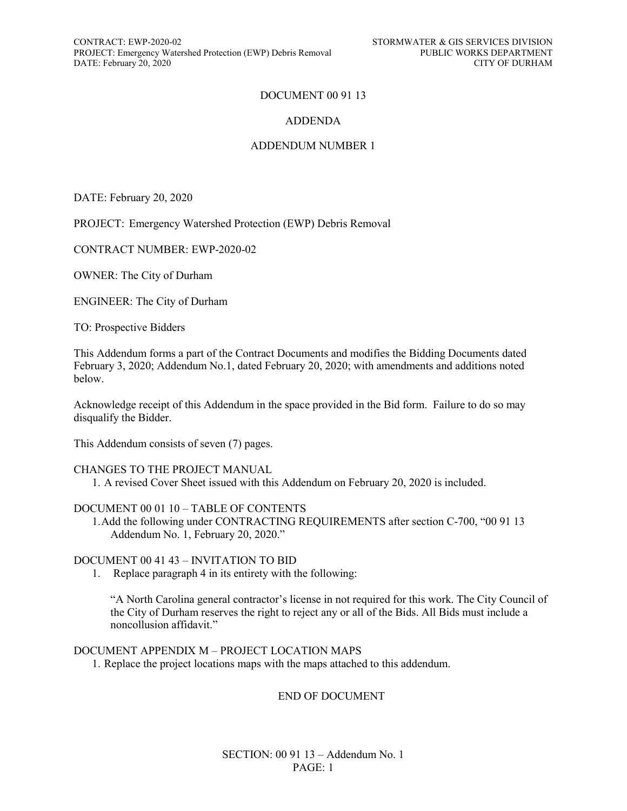CONTRACT: EWP-2020-02 STORMWATER & GIS SERVICES DIVISION PROJECT: Emergency Watershed Protection (EWP) Debris Removal PUBLIC WORKS DEPARTMENT<br>DATE: February 20. 2020 CITY OF DURHAM DATE: February 20, 2020

### DOCUMENT 00 91 13

### ADDENDA

### ADDENDUM NUMBER 1

DATE: February 20, 2020

PROJECT: Emergency Watershed Protection (EWP) Debris Removal

CONTRACT NUMBER: EWP-2020-02

OWNER: The City of Durham

ENGINEER: The City of Durham

TO: Prospective Bidders

This Addendum forms a part of the Contract Documents and modifies the Bidding Documents dated February 3, 2020; Addendum No.1, dated February 20, 2020; with amendments and additions noted below.

Acknowledge receipt of this Addendum in the space provided in the Bid form. Failure to do so may disqualify the Bidder.

This Addendum consists of seven (7) pages.

### CHANGES TO THE PROJECT MANUAL

1. A revised Cover Sheet issued with this Addendum on February 20, 2020 is included.

### DOCUMENT 00 01 10 – TABLE OF CONTENTS

1.Add the following under CONTRACTING REQUIREMENTS after section C-700, "00 91 13 Addendum No. 1, February 20, 2020."

### DOCUMENT 00 41 43 – INVITATION TO BID

1. Replace paragraph 4 in its entirety with the following:

"A North Carolina general contractor's license in not required for this work. The City Council of the City of Durham reserves the right to reject any or all of the Bids. All Bids must include a noncollusion affidavit."

DOCUMENT APPENDIX M – PROJECT LOCATION MAPS

1. Replace the project locations maps with the maps attached to this addendum.

#### END OF DOCUMENT

SECTION: 00 91 13 – Addendum No. 1 PAGE: 1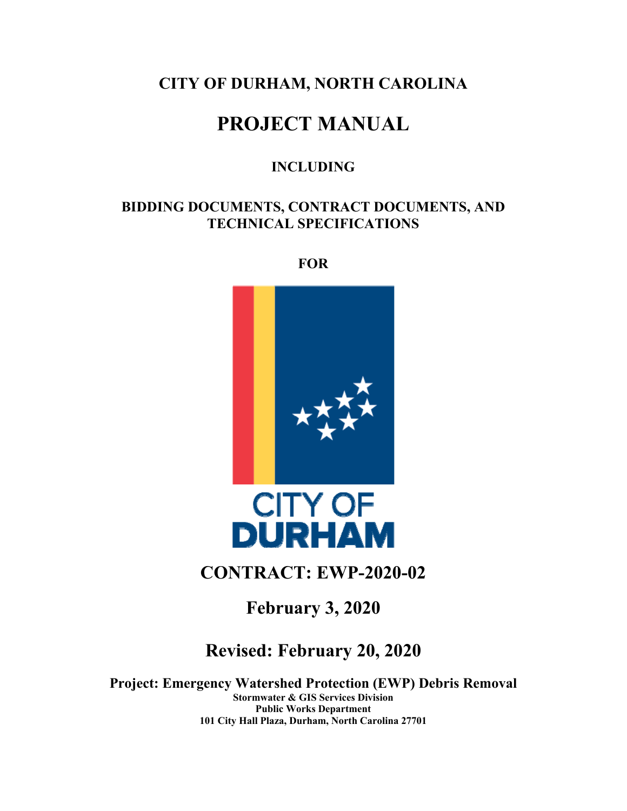## **CITY OF DURHAM, NORTH CAROLINA**

# **PROJECT MANUAL**

### **INCLUDING**

### **BIDDING DOCUMENTS, CONTRACT DOCUMENTS, AND TECHNICAL SPECIFICATIONS**

**FOR** 



## **CONTRACT: EWP-2020-02**

**February 3, 2020** 

# **Revised: February 20, 2020**

**Project: Emergency Watershed Protection (EWP) Debris Removal Stormwater & GIS Services Division Public Works Department 101 City Hall Plaza, Durham, North Carolina 27701**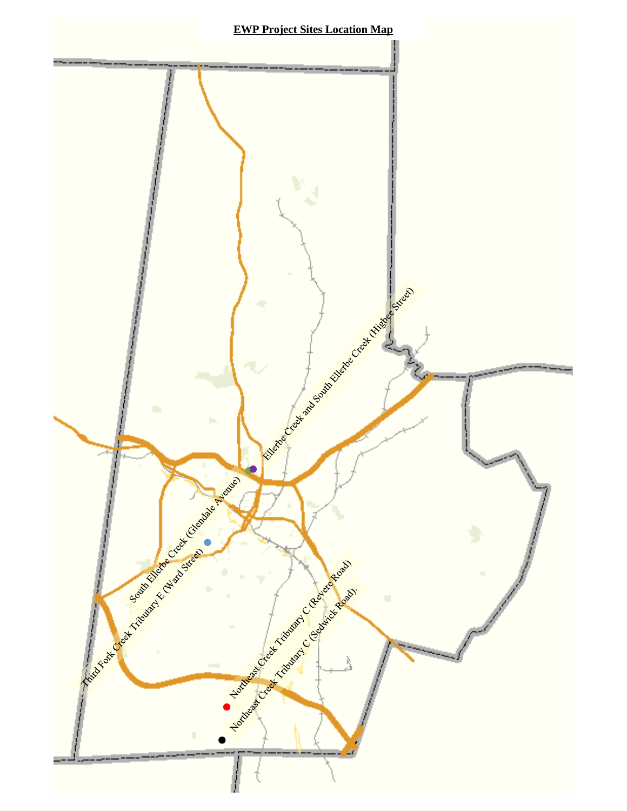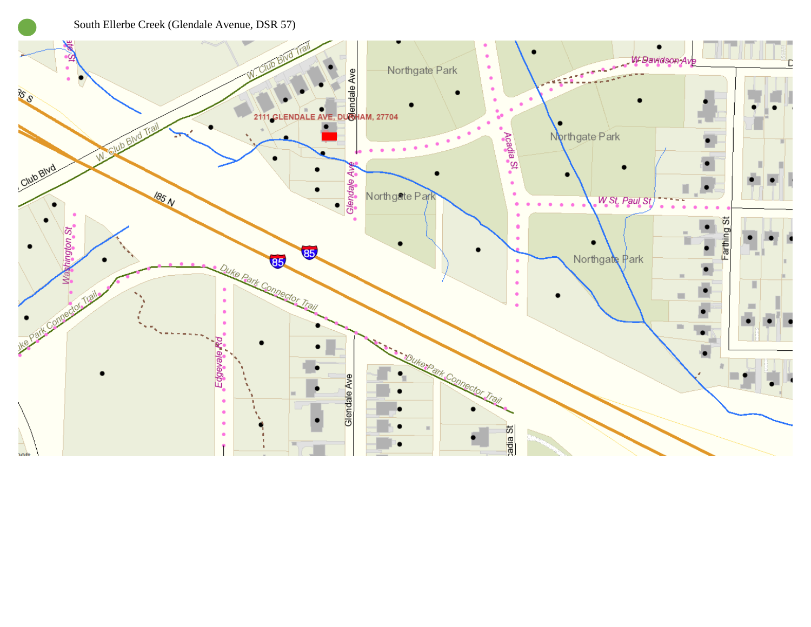South Ellerbe Creek (Glendale Avenue, DSR 57)

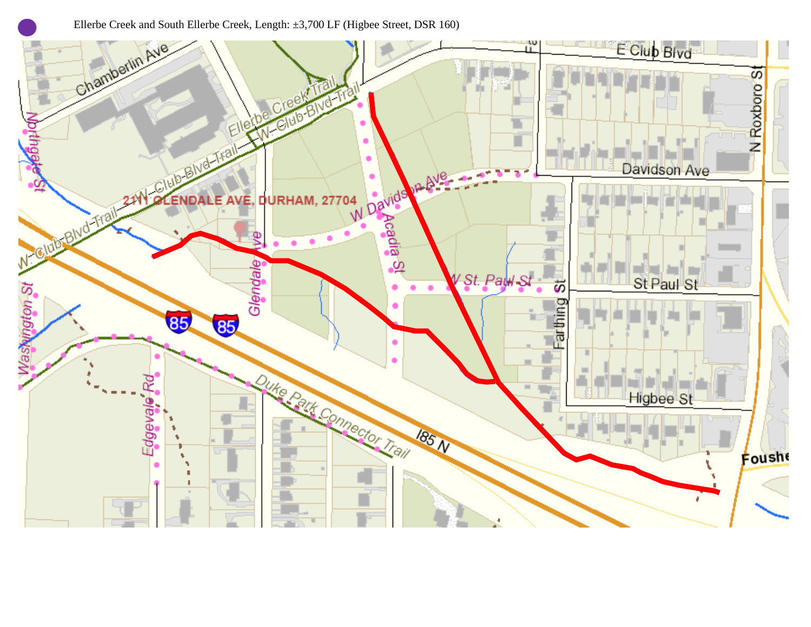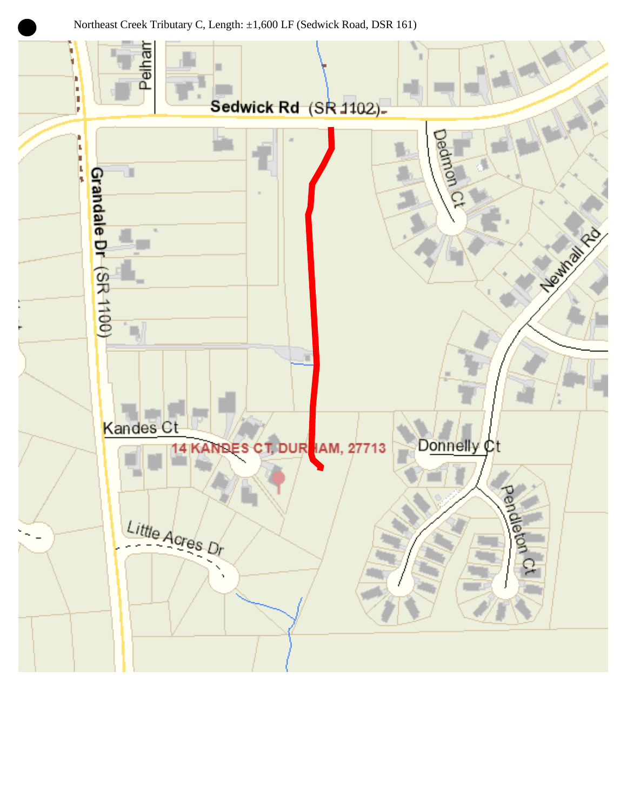Northeast Creek Tributary C, Length: ±1,600 LF (Sedwick Road, DSR 161)

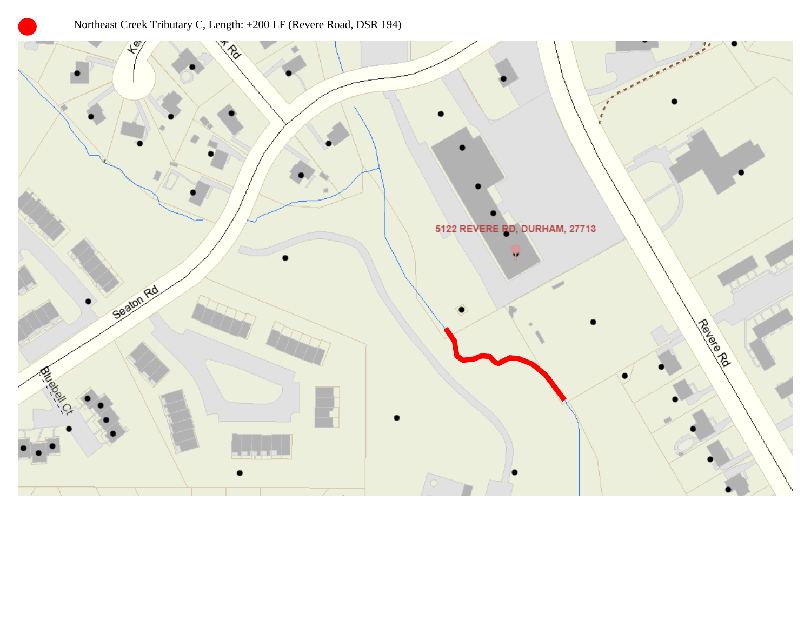## Northeast Creek Tributary C, Length: ±200 LF (Revere Road, DSR 194)